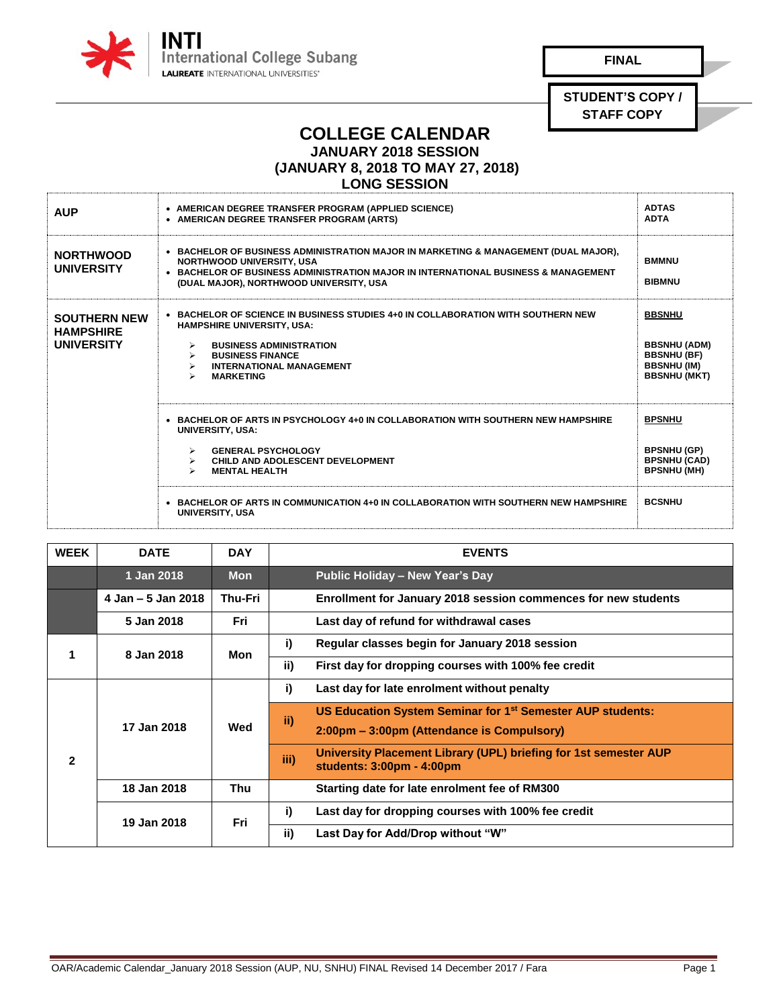

**FINAL** 

**STUDENT'S COPY / STAFF COPY**

## **COLLEGE CALENDAR**

**JANUARY 2018 SESSION** 

**(JANUARY 8, 2018 TO MAY 27, 2018)**

## **LONG SESSION**

| <b>AUP</b>                                                   | • AMERICAN DEGREE TRANSFER PROGRAM (APPLIED SCIENCE)<br>• AMERICAN DEGREE TRANSFER PROGRAM (ARTS)                                                                                                                                                           | <b>ADTAS</b><br><b>ADTA</b>                                                                             |
|--------------------------------------------------------------|-------------------------------------------------------------------------------------------------------------------------------------------------------------------------------------------------------------------------------------------------------------|---------------------------------------------------------------------------------------------------------|
| <b>NORTHWOOD</b><br><b>UNIVERSITY</b>                        | • BACHELOR OF BUSINESS ADMINISTRATION MAJOR IN MARKETING & MANAGEMENT (DUAL MAJOR),<br><b>NORTHWOOD UNIVERSITY, USA</b><br>• BACHELOR OF BUSINESS ADMINISTRATION MAJOR IN INTERNATIONAL BUSINESS & MANAGEMENT<br>(DUAL MAJOR), NORTHWOOD UNIVERSITY, USA    | <b>BMMNU</b><br><b>BIBMNU</b>                                                                           |
| <b>SOUTHERN NEW</b><br><b>HAMPSHIRE</b><br><b>UNIVERSITY</b> | $\bullet$ BACHELOR OF SCIENCE IN BUSINESS STUDIES 4+0 IN COLLABORATION WITH SOUTHERN NEW<br><b>HAMPSHIRE UNIVERSITY, USA:</b><br><b>BUSINESS ADMINISTRATION</b><br>⋗<br><b>BUSINESS FINANCE</b><br>↘<br><b>INTERNATIONAL MANAGEMENT</b><br><b>MARKETING</b> | <b>BBSNHU</b><br><b>BBSNHU (ADM)</b><br><b>BBSNHU (BF)</b><br><b>BBSNHU (IM)</b><br><b>BBSNHU (MKT)</b> |
|                                                              | • BACHELOR OF ARTS IN PSYCHOLOGY 4+0 IN COLLABORATION WITH SOUTHERN NEW HAMPSHIRE<br><b>UNIVERSITY, USA:</b><br><b>GENERAL PSYCHOLOGY</b><br>≻<br>CHILD AND ADOLESCENT DEVELOPMENT<br>≻<br><b>MENTAL HEALTH</b><br>$\blacktriangleright$                    | <b>BPSNHU</b><br><b>BPSNHU (GP)</b><br><b>BPSNHU (CAD)</b><br><b>BPSNHU (MH)</b><br><b>BCSNHU</b>       |
|                                                              | $\bullet$ BACHELOR OF ARTS IN COMMUNICATION 4+0 IN COLLABORATION WITH SOUTHERN NEW HAMPSHIRE<br><b>UNIVERSITY, USA</b>                                                                                                                                      |                                                                                                         |

| <b>WEEK</b>  | <b>DATE</b>        | <b>DAY</b>     | <b>EVENTS</b>                                                                                                               |
|--------------|--------------------|----------------|-----------------------------------------------------------------------------------------------------------------------------|
|              | 1 Jan 2018         | <b>Mon</b>     | Public Holiday - New Year's Day                                                                                             |
|              | 4 Jan - 5 Jan 2018 | <b>Thu-Fri</b> | Enrollment for January 2018 session commences for new students                                                              |
|              | 5 Jan 2018         | Fri            | Last day of refund for withdrawal cases                                                                                     |
|              | 8 Jan 2018         | Mon            | i)<br>Regular classes begin for January 2018 session                                                                        |
|              |                    |                | ii)<br>First day for dropping courses with 100% fee credit                                                                  |
| $\mathbf{2}$ | 17 Jan 2018        | Wed            | i)<br>Last day for late enrolment without penalty                                                                           |
|              |                    |                | US Education System Seminar for 1 <sup>st</sup> Semester AUP students:<br>ii)<br>2:00pm – 3:00pm (Attendance is Compulsory) |
|              |                    |                | University Placement Library (UPL) briefing for 1st semester AUP<br>iii)<br>students: 3:00pm - 4:00pm                       |
|              | 18 Jan 2018        | Thu            | Starting date for late enrolment fee of RM300                                                                               |
|              | 19 Jan 2018        | Fri            | i)<br>Last day for dropping courses with 100% fee credit                                                                    |
|              |                    |                | ii)<br>Last Day for Add/Drop without "W"                                                                                    |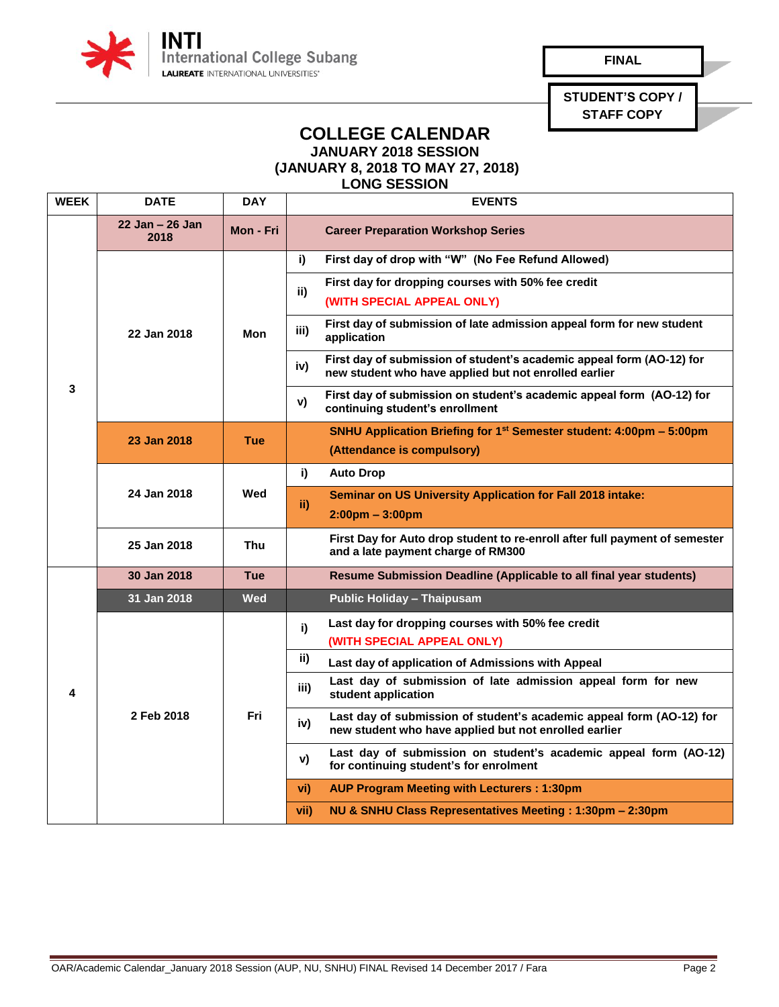

**FINAL** 

**STUDENT'S COPY / STAFF COPY**

## **COLLEGE CALENDAR JANUARY 2018 SESSION**

**(JANUARY 8, 2018 TO MAY 27, 2018)**

**LONG SESSION** 

| <b>WEEK</b> | <b>DATE</b>                | <b>DAY</b> | <b>EVENTS</b>                                                                                                                         |
|-------------|----------------------------|------------|---------------------------------------------------------------------------------------------------------------------------------------|
| 3           | $22$ Jan $-26$ Jan<br>2018 | Mon - Fri  | <b>Career Preparation Workshop Series</b>                                                                                             |
|             | 22 Jan 2018                | Mon        | First day of drop with "W" (No Fee Refund Allowed)<br>i)                                                                              |
|             |                            |            | First day for dropping courses with 50% fee credit<br>ii)                                                                             |
|             |                            |            | (WITH SPECIAL APPEAL ONLY)                                                                                                            |
|             |                            |            | First day of submission of late admission appeal form for new student<br>iii)<br>application                                          |
|             |                            |            | First day of submission of student's academic appeal form (AO-12) for<br>iv)<br>new student who have applied but not enrolled earlier |
|             |                            |            | First day of submission on student's academic appeal form (AO-12) for<br>v)<br>continuing student's enrollment                        |
|             | 23 Jan 2018                | <b>Tue</b> | <b>SNHU Application Briefing for 1st Semester student: 4:00pm – 5:00pm</b>                                                            |
|             |                            |            | (Attendance is compulsory)                                                                                                            |
|             |                            | Wed        | i)<br><b>Auto Drop</b>                                                                                                                |
|             | 24 Jan 2018                |            | <b>Seminar on US University Application for Fall 2018 intake:</b><br>ii)                                                              |
|             |                            |            | $2:00 \text{pm} - 3:00 \text{pm}$                                                                                                     |
|             | 25 Jan 2018                | <b>Thu</b> | First Day for Auto drop student to re-enroll after full payment of semester<br>and a late payment charge of RM300                     |
|             | 30 Jan 2018                | <b>Tue</b> | <b>Resume Submission Deadline (Applicable to all final year students)</b>                                                             |
|             | 31 Jan 2018                | <b>Wed</b> | <b>Public Holiday - Thaipusam</b>                                                                                                     |
| 4           | 2 Feb 2018                 | Fri        | Last day for dropping courses with 50% fee credit<br>i)                                                                               |
|             |                            |            | (WITH SPECIAL APPEAL ONLY)                                                                                                            |
|             |                            |            | ii)<br>Last day of application of Admissions with Appeal                                                                              |
|             |                            |            | Last day of submission of late admission appeal form for new<br>iii)<br>student application                                           |
|             |                            |            | Last day of submission of student's academic appeal form (AO-12) for<br>iv)<br>new student who have applied but not enrolled earlier  |
|             |                            |            | Last day of submission on student's academic appeal form (AO-12)<br>v)<br>for continuing student's for enrolment                      |
|             |                            |            | <b>AUP Program Meeting with Lecturers: 1:30pm</b><br>vi)                                                                              |
|             |                            |            | vii)<br>NU & SNHU Class Representatives Meeting: 1:30pm - 2:30pm                                                                      |